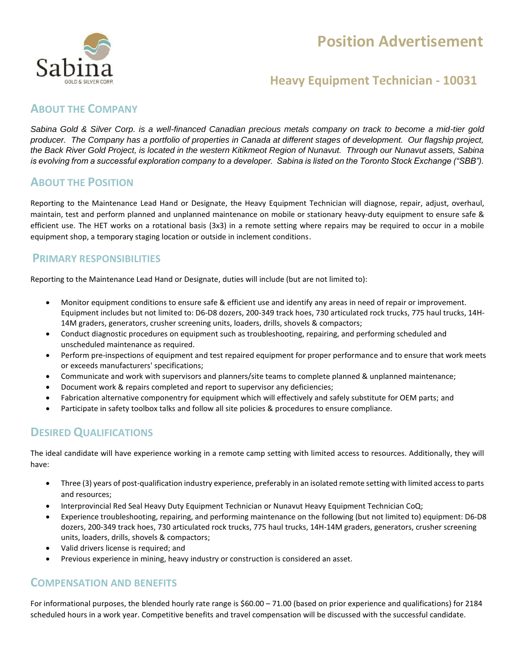# **Position Advertisement**



### **Heavy Equipment Technician - 10031**

### **ABOUT THE COMPANY**

*Sabina Gold & Silver Corp. is a well-financed Canadian precious metals company on track to become a mid-tier gold producer. The Company has a portfolio of properties in Canada at different stages of development. Our flagship project, the Back River Gold Project, is located in the western Kitikmeot Region of Nunavut. Through our Nunavut assets, Sabina is evolving from a successful exploration company to a developer. Sabina is listed on the Toronto Stock Exchange ("SBB").*

### **ABOUT THE POSITION**

Reporting to the Maintenance Lead Hand or Designate, the Heavy Equipment Technician will diagnose, repair, adjust, overhaul, maintain, test and perform planned and unplanned maintenance on mobile or stationary heavy-duty equipment to ensure safe & efficient use. The HET works on a rotational basis (3x3) in a remote setting where repairs may be required to occur in a mobile equipment shop, a temporary staging location or outside in inclement conditions.

### **PRIMARY RESPONSIBILITIES**

Reporting to the Maintenance Lead Hand or Designate, duties will include (but are not limited to):

- Monitor equipment conditions to ensure safe & efficient use and identify any areas in need of repair or improvement. Equipment includes but not limited to: D6‐D8 dozers, 200‐349 track hoes, 730 articulated rock trucks, 775 haul trucks, 14H‐ 14M graders, generators, crusher screening units, loaders, drills, shovels & compactors;
- Conduct diagnostic procedures on equipment such as troubleshooting, repairing, and performing scheduled and unscheduled maintenance as required.
- Perform pre-inspections of equipment and test repaired equipment for proper performance and to ensure that work meets or exceeds manufacturers' specifications;
- Communicate and work with supervisors and planners/site teams to complete planned & unplanned maintenance;
- Document work & repairs completed and report to supervisor any deficiencies;
- Fabrication alternative componentry for equipment which will effectively and safely substitute for OEM parts; and
- Participate in safety toolbox talks and follow all site policies & procedures to ensure compliance.

### **DESIRED QUALIFICATIONS**

The ideal candidate will have experience working in a remote camp setting with limited access to resources. Additionally, they will have:

- Three (3) years of post-qualification industry experience, preferably in an isolated remote setting with limited access to parts and resources;
- Interprovincial Red Seal Heavy Duty Equipment Technician or Nunavut Heavy Equipment Technician CoQ;
- Experience troubleshooting, repairing, and performing maintenance on the following (but not limited to) equipment: D6‐D8 dozers, 200‐349 track hoes, 730 articulated rock trucks, 775 haul trucks, 14H‐14M graders, generators, crusher screening units, loaders, drills, shovels & compactors;
- Valid drivers license is required; and
- Previous experience in mining, heavy industry or construction is considered an asset.

### **COMPENSATION AND BENEFITS**

For informational purposes, the blended hourly rate range is \$60.00 – 71.00 (based on prior experience and qualifications) for 2184 scheduled hours in a work year. Competitive benefits and travel compensation will be discussed with the successful candidate.